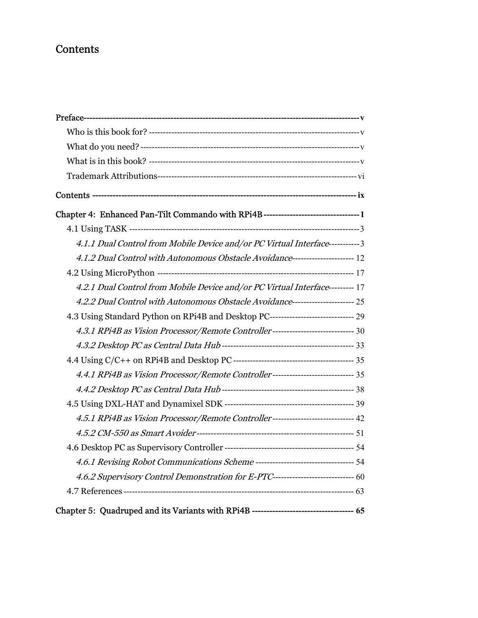## **Contents**

| Chapter 4: Enhanced Pan-Tilt Commando with RPi4B---------------------------------1     |  |
|----------------------------------------------------------------------------------------|--|
|                                                                                        |  |
| 4.1.1 Dual Control from Mobile Device and/or PC Virtual Interface----------3           |  |
| 4.1.2 Dual Control with Autonomous Obstacle Avoidance--------------------------- 12    |  |
|                                                                                        |  |
| 4.2.1 Dual Control from Mobile Device and/or PC Virtual Interface--------- 17          |  |
| 4.2.2 Dual Control with Autonomous Obstacle Avoidance---------------------- 25         |  |
| 4.3 Using Standard Python on RPi4B and Desktop PC------------------------------- 29    |  |
| 4.3.1 RPi4B as Vision Processor/Remote Controller------------------------------ 30     |  |
|                                                                                        |  |
|                                                                                        |  |
| 4.4.1 RPi4B as Vision Processor/Remote Controller------------------------------ 35     |  |
|                                                                                        |  |
|                                                                                        |  |
| 4.5.1 RPi4B as Vision Processor/Remote Controller---------------------------- 42       |  |
|                                                                                        |  |
|                                                                                        |  |
|                                                                                        |  |
| 4.6.2 Supervisory Control Demonstration for E-PTC------------------------------ 60     |  |
|                                                                                        |  |
| Chapter 5: Quadruped and its Variants with RPi4B ---------------------------------- 65 |  |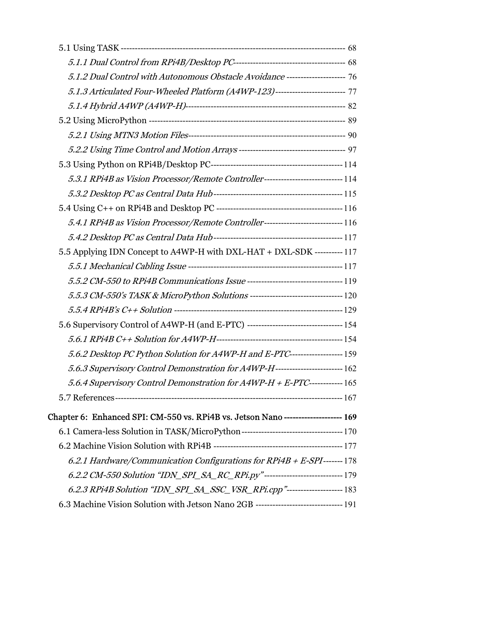| 5.1.2 Dual Control with Autonomous Obstacle Avoidance --------------------- 76        |  |
|---------------------------------------------------------------------------------------|--|
| 5.1.3 Articulated Four-Wheeled Platform (A4WP-123)------------------------ 77         |  |
|                                                                                       |  |
|                                                                                       |  |
|                                                                                       |  |
|                                                                                       |  |
|                                                                                       |  |
| 5.3.1 RPi4B as Vision Processor/Remote Controller----------------------------114      |  |
|                                                                                       |  |
|                                                                                       |  |
| 5.4.1 RPi4B as Vision Processor/Remote Controller-------------------------------- 116 |  |
|                                                                                       |  |
| 5.5 Applying IDN Concept to A4WP-H with DXL-HAT + DXL-SDK ---------- 117              |  |
|                                                                                       |  |
|                                                                                       |  |
|                                                                                       |  |
|                                                                                       |  |
| 5.6 Supervisory Control of A4WP-H (and E-PTC) ---------------------------------- 154  |  |
|                                                                                       |  |
| 5.6.2 Desktop PC Python Solution for A4WP-H and E-PTC--------------------- 159        |  |
| 5.6.3 Supervisory Control Demonstration for A4WP-H------------------------- 162       |  |
| 5.6.4 Supervisory Control Demonstration for A4WP-H + E-PTC------------- 165           |  |
|                                                                                       |  |
| Chapter 6: Enhanced SPI: CM-550 vs. RPi4B vs. Jetson Nano--------------------- 169    |  |
|                                                                                       |  |
|                                                                                       |  |
| 6.2.1 Hardware/Communication Configurations for $RPi4B + E-SPI$ -------178            |  |
| 6.2.2 CM-550 Solution "IDN_SPI_SA_RC_RPi.py"-----------------------------179          |  |
| 6.2.3 RPi4B Solution "IDN_SPI_SA_SSC_VSR_RPi.cpp"-------------------- 183             |  |
| 6.3 Machine Vision Solution with Jetson Nano 2GB -------------------------------- 191 |  |
|                                                                                       |  |